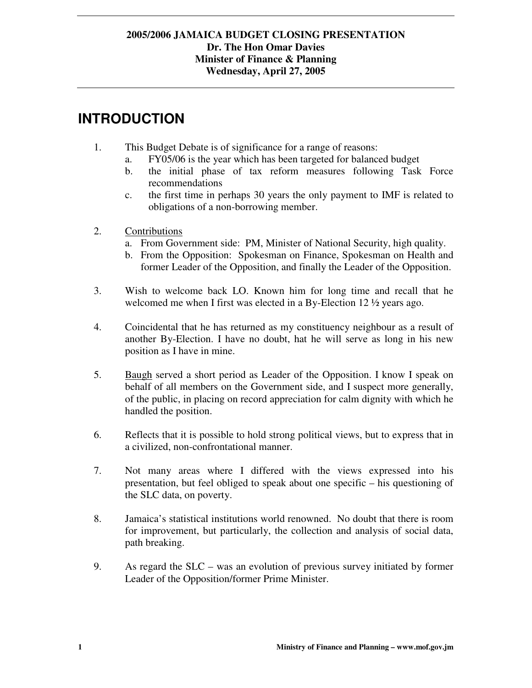## **INTRODUCTION**

- 1. This Budget Debate is of significance for a range of reasons:
	- a. FY05/06 is the year which has been targeted for balanced budget
	- b. the initial phase of tax reform measures following Task Force recommendations
	- c. the first time in perhaps 30 years the only payment to IMF is related to obligations of a non-borrowing member.
- 2. Contributions
	- a. From Government side: PM, Minister of National Security, high quality.
	- b. From the Opposition: Spokesman on Finance, Spokesman on Health and former Leader of the Opposition, and finally the Leader of the Opposition.
- 3. Wish to welcome back LO. Known him for long time and recall that he welcomed me when I first was elected in a By-Election 12  $\frac{1}{2}$  years ago.
- 4. Coincidental that he has returned as my constituency neighbour as a result of another By-Election. I have no doubt, hat he will serve as long in his new position as I have in mine.
- 5. Baugh served a short period as Leader of the Opposition. I know I speak on behalf of all members on the Government side, and I suspect more generally, of the public, in placing on record appreciation for calm dignity with which he handled the position.
- 6. Reflects that it is possible to hold strong political views, but to express that in a civilized, non-confrontational manner.
- 7. Not many areas where I differed with the views expressed into his presentation, but feel obliged to speak about one specific – his questioning of the SLC data, on poverty.
- 8. Jamaica's statistical institutions world renowned. No doubt that there is room for improvement, but particularly, the collection and analysis of social data, path breaking.
- 9. As regard the SLC was an evolution of previous survey initiated by former Leader of the Opposition/former Prime Minister.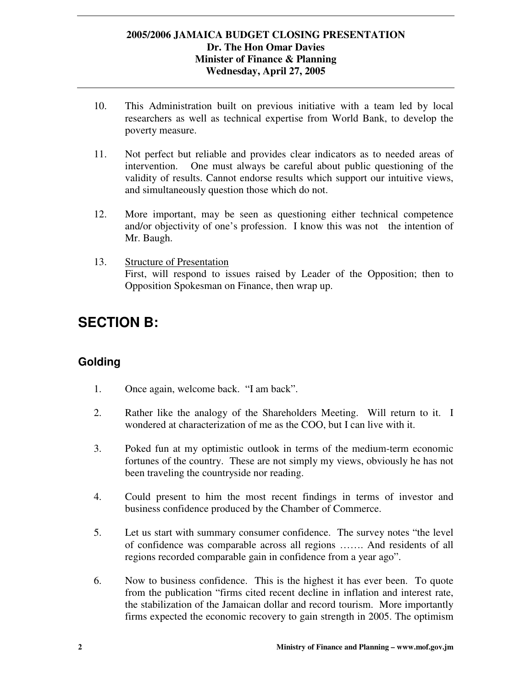- 10. This Administration built on previous initiative with a team led by local researchers as well as technical expertise from World Bank, to develop the poverty measure.
- 11. Not perfect but reliable and provides clear indicators as to needed areas of intervention. One must always be careful about public questioning of the validity of results. Cannot endorse results which support our intuitive views, and simultaneously question those which do not.
- 12. More important, may be seen as questioning either technical competence and/or objectivity of one's profession. I know this was not the intention of Mr. Baugh.
- 13. Structure of Presentation First, will respond to issues raised by Leader of the Opposition; then to Opposition Spokesman on Finance, then wrap up.

## **SECTION B:**

## **Golding**

- 1. Once again, welcome back. "I am back".
- 2. Rather like the analogy of the Shareholders Meeting. Will return to it. I wondered at characterization of me as the COO, but I can live with it.
- 3. Poked fun at my optimistic outlook in terms of the medium-term economic fortunes of the country. These are not simply my views, obviously he has not been traveling the countryside nor reading.
- 4. Could present to him the most recent findings in terms of investor and business confidence produced by the Chamber of Commerce.
- 5. Let us start with summary consumer confidence. The survey notes "the level of confidence was comparable across all regions ……. And residents of all regions recorded comparable gain in confidence from a year ago".
- 6. Now to business confidence. This is the highest it has ever been. To quote from the publication "firms cited recent decline in inflation and interest rate, the stabilization of the Jamaican dollar and record tourism. More importantly firms expected the economic recovery to gain strength in 2005. The optimism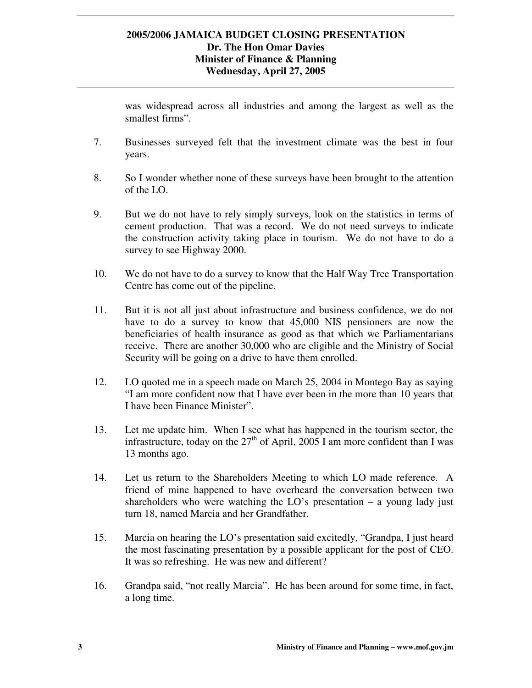was widespread across all industries and among the largest as well as the smallest firms".

- 7. Businesses surveyed felt that the investment climate was the best in four years.
- 8. So I wonder whether none of these surveys have been brought to the attention of the LO.
- 9. But we do not have to rely simply surveys, look on the statistics in terms of cement production. That was a record. We do not need surveys to indicate the construction activity taking place in tourism. We do not have to do a survey to see Highway 2000.
- 10. We do not have to do a survey to know that the Half Way Tree Transportation Centre has come out of the pipeline.
- 11. But it is not all just about infrastructure and business confidence, we do not have to do a survey to know that 45,000 NIS pensioners are now the beneficiaries of health insurance as good as that which we Parliamentarians receive. There are another 30,000 who are eligible and the Ministry of Social Security will be going on a drive to have them enrolled.
- 12. LO quoted me in a speech made on March 25, 2004 in Montego Bay as saying "I am more confident now that I have ever been in the more than 10 years that I have been Finance Minister".
- 13. Let me update him. When I see what has happened in the tourism sector, the infrastructure, today on the  $27<sup>th</sup>$  of April, 2005 I am more confident than I was 13 months ago.
- 14. Let us return to the Shareholders Meeting to which LO made reference. A friend of mine happened to have overheard the conversation between two shareholders who were watching the  $LO$ 's presentation – a young lady just turn 18, named Marcia and her Grandfather.
- 15. Marcia on hearing the LO's presentation said excitedly, "Grandpa, I just heard the most fascinating presentation by a possible applicant for the post of CEO. It was so refreshing. He was new and different?
- 16. Grandpa said, "not really Marcia". He has been around for some time, in fact, a long time.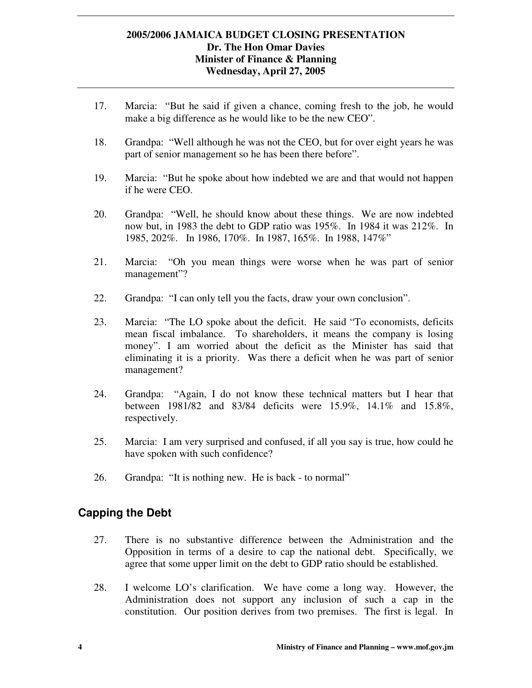- 17. Marcia: "But he said if given a chance, coming fresh to the job, he would make a big difference as he would like to be the new CEO".
- 18. Grandpa: "Well although he was not the CEO, but for over eight years he was part of senior management so he has been there before".
- 19. Marcia: "But he spoke about how indebted we are and that would not happen if he were CEO.
- 20. Grandpa: "Well, he should know about these things. We are now indebted now but, in 1983 the debt to GDP ratio was 195%. In 1984 it was 212%. In 1985, 202%. In 1986, 170%. In 1987, 165%. In 1988, 147%"
- 21. Marcia: "Oh you mean things were worse when he was part of senior management"?
- 22. Grandpa: "I can only tell you the facts, draw your own conclusion".
- 23. Marcia: "The LO spoke about the deficit. He said "To economists, deficits mean fiscal imbalance. To shareholders, it means the company is losing money". I am worried about the deficit as the Minister has said that eliminating it is a priority. Was there a deficit when he was part of senior management?
- 24. Grandpa: "Again, I do not know these technical matters but I hear that between 1981/82 and 83/84 deficits were 15.9%, 14.1% and 15.8%, respectively.
- 25. Marcia: I am very surprised and confused, if all you say is true, how could he have spoken with such confidence?
- 26. Grandpa: "It is nothing new. He is back to normal"

## **Capping the Debt**

- 27. There is no substantive difference between the Administration and the Opposition in terms of a desire to cap the national debt. Specifically, we agree that some upper limit on the debt to GDP ratio should be established.
- 28. I welcome LO's clarification. We have come a long way. However, the Administration does not support any inclusion of such a cap in the constitution. Our position derives from two premises. The first is legal. In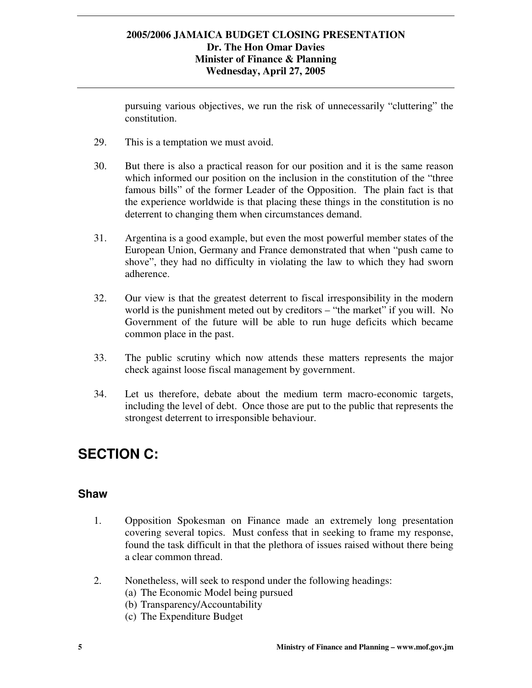pursuing various objectives, we run the risk of unnecessarily "cluttering" the constitution.

- 29. This is a temptation we must avoid.
- 30. But there is also a practical reason for our position and it is the same reason which informed our position on the inclusion in the constitution of the "three famous bills" of the former Leader of the Opposition. The plain fact is that the experience worldwide is that placing these things in the constitution is no deterrent to changing them when circumstances demand.
- 31. Argentina is a good example, but even the most powerful member states of the European Union, Germany and France demonstrated that when "push came to shove", they had no difficulty in violating the law to which they had sworn adherence.
- 32. Our view is that the greatest deterrent to fiscal irresponsibility in the modern world is the punishment meted out by creditors – "the market" if you will. No Government of the future will be able to run huge deficits which became common place in the past.
- 33. The public scrutiny which now attends these matters represents the major check against loose fiscal management by government.
- 34. Let us therefore, debate about the medium term macro-economic targets, including the level of debt. Once those are put to the public that represents the strongest deterrent to irresponsible behaviour.

# **SECTION C:**

### **Shaw**

- 1. Opposition Spokesman on Finance made an extremely long presentation covering several topics. Must confess that in seeking to frame my response, found the task difficult in that the plethora of issues raised without there being a clear common thread.
- 2. Nonetheless, will seek to respond under the following headings:
	- (a) The Economic Model being pursued
	- (b) Transparency/Accountability
	- (c) The Expenditure Budget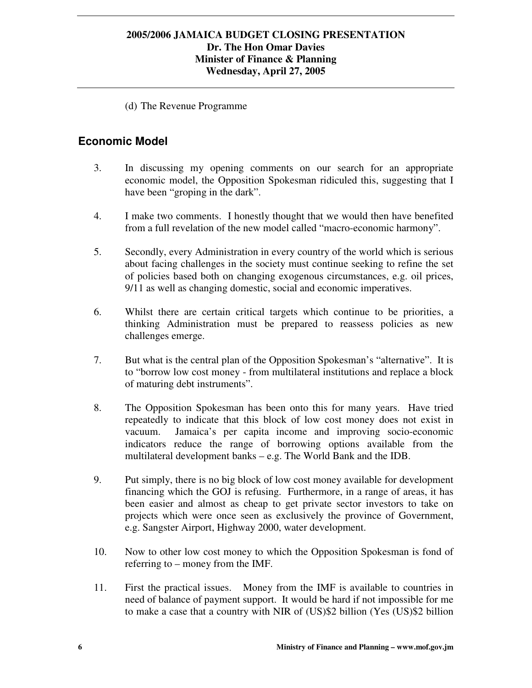(d) The Revenue Programme

## **Economic Model**

- 3. In discussing my opening comments on our search for an appropriate economic model, the Opposition Spokesman ridiculed this, suggesting that I have been "groping in the dark".
- 4. I make two comments. I honestly thought that we would then have benefited from a full revelation of the new model called "macro-economic harmony".
- 5. Secondly, every Administration in every country of the world which is serious about facing challenges in the society must continue seeking to refine the set of policies based both on changing exogenous circumstances, e.g. oil prices, 9/11 as well as changing domestic, social and economic imperatives.
- 6. Whilst there are certain critical targets which continue to be priorities, a thinking Administration must be prepared to reassess policies as new challenges emerge.
- 7. But what is the central plan of the Opposition Spokesman's "alternative". It is to "borrow low cost money - from multilateral institutions and replace a block of maturing debt instruments".
- 8. The Opposition Spokesman has been onto this for many years. Have tried repeatedly to indicate that this block of low cost money does not exist in vacuum. Jamaica's per capita income and improving socio-economic indicators reduce the range of borrowing options available from the multilateral development banks – e.g. The World Bank and the IDB.
- 9. Put simply, there is no big block of low cost money available for development financing which the GOJ is refusing. Furthermore, in a range of areas, it has been easier and almost as cheap to get private sector investors to take on projects which were once seen as exclusively the province of Government, e.g. Sangster Airport, Highway 2000, water development.
- 10. Now to other low cost money to which the Opposition Spokesman is fond of referring to – money from the IMF.
- 11. First the practical issues. Money from the IMF is available to countries in need of balance of payment support. It would be hard if not impossible for me to make a case that a country with NIR of (US)\$2 billion (Yes (US)\$2 billion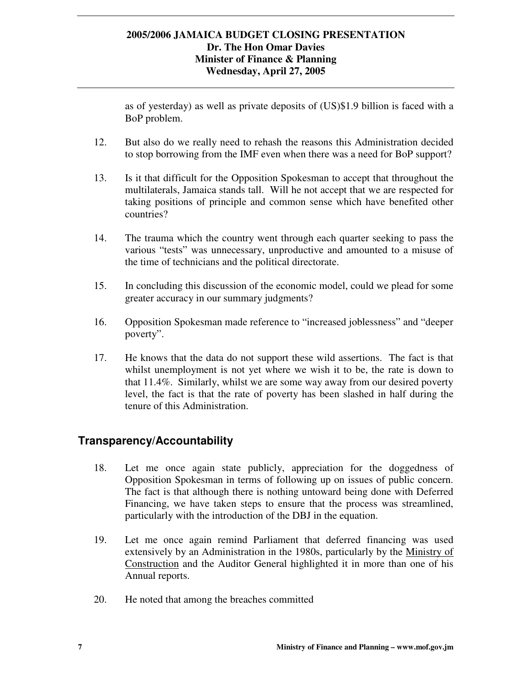as of yesterday) as well as private deposits of (US)\$1.9 billion is faced with a BoP problem.

- 12. But also do we really need to rehash the reasons this Administration decided to stop borrowing from the IMF even when there was a need for BoP support?
- 13. Is it that difficult for the Opposition Spokesman to accept that throughout the multilaterals, Jamaica stands tall. Will he not accept that we are respected for taking positions of principle and common sense which have benefited other countries?
- 14. The trauma which the country went through each quarter seeking to pass the various "tests" was unnecessary, unproductive and amounted to a misuse of the time of technicians and the political directorate.
- 15. In concluding this discussion of the economic model, could we plead for some greater accuracy in our summary judgments?
- 16. Opposition Spokesman made reference to "increased joblessness" and "deeper poverty".
- 17. He knows that the data do not support these wild assertions. The fact is that whilst unemployment is not yet where we wish it to be, the rate is down to that 11.4%. Similarly, whilst we are some way away from our desired poverty level, the fact is that the rate of poverty has been slashed in half during the tenure of this Administration.

## **Transparency/Accountability**

- 18. Let me once again state publicly, appreciation for the doggedness of Opposition Spokesman in terms of following up on issues of public concern. The fact is that although there is nothing untoward being done with Deferred Financing, we have taken steps to ensure that the process was streamlined, particularly with the introduction of the DBJ in the equation.
- 19. Let me once again remind Parliament that deferred financing was used extensively by an Administration in the 1980s, particularly by the Ministry of Construction and the Auditor General highlighted it in more than one of his Annual reports.
- 20. He noted that among the breaches committed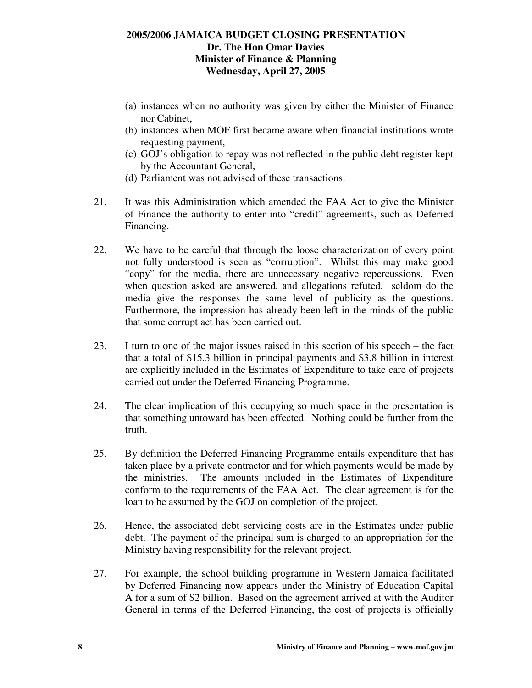- (a) instances when no authority was given by either the Minister of Finance nor Cabinet,
- (b) instances when MOF first became aware when financial institutions wrote requesting payment,
- (c) GOJ's obligation to repay was not reflected in the public debt register kept by the Accountant General,
- (d) Parliament was not advised of these transactions.
- 21. It was this Administration which amended the FAA Act to give the Minister of Finance the authority to enter into "credit" agreements, such as Deferred Financing.
- 22. We have to be careful that through the loose characterization of every point not fully understood is seen as "corruption". Whilst this may make good "copy" for the media, there are unnecessary negative repercussions. Even when question asked are answered, and allegations refuted, seldom do the media give the responses the same level of publicity as the questions. Furthermore, the impression has already been left in the minds of the public that some corrupt act has been carried out.
- 23. I turn to one of the major issues raised in this section of his speech the fact that a total of \$15.3 billion in principal payments and \$3.8 billion in interest are explicitly included in the Estimates of Expenditure to take care of projects carried out under the Deferred Financing Programme.
- 24. The clear implication of this occupying so much space in the presentation is that something untoward has been effected. Nothing could be further from the truth.
- 25. By definition the Deferred Financing Programme entails expenditure that has taken place by a private contractor and for which payments would be made by the ministries. The amounts included in the Estimates of Expenditure conform to the requirements of the FAA Act. The clear agreement is for the loan to be assumed by the GOJ on completion of the project.
- 26. Hence, the associated debt servicing costs are in the Estimates under public debt. The payment of the principal sum is charged to an appropriation for the Ministry having responsibility for the relevant project.
- 27. For example, the school building programme in Western Jamaica facilitated by Deferred Financing now appears under the Ministry of Education Capital A for a sum of \$2 billion. Based on the agreement arrived at with the Auditor General in terms of the Deferred Financing, the cost of projects is officially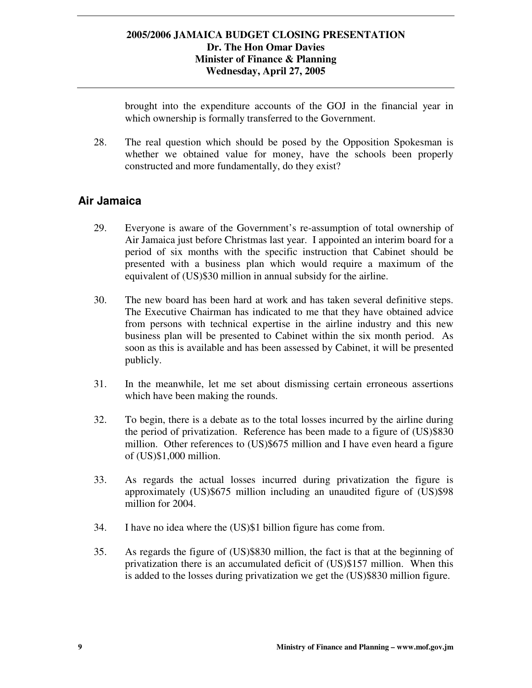brought into the expenditure accounts of the GOJ in the financial year in which ownership is formally transferred to the Government.

28. The real question which should be posed by the Opposition Spokesman is whether we obtained value for money, have the schools been properly constructed and more fundamentally, do they exist?

## **Air Jamaica**

- 29. Everyone is aware of the Government's re-assumption of total ownership of Air Jamaica just before Christmas last year. I appointed an interim board for a period of six months with the specific instruction that Cabinet should be presented with a business plan which would require a maximum of the equivalent of (US)\$30 million in annual subsidy for the airline.
- 30. The new board has been hard at work and has taken several definitive steps. The Executive Chairman has indicated to me that they have obtained advice from persons with technical expertise in the airline industry and this new business plan will be presented to Cabinet within the six month period. As soon as this is available and has been assessed by Cabinet, it will be presented publicly.
- 31. In the meanwhile, let me set about dismissing certain erroneous assertions which have been making the rounds.
- 32. To begin, there is a debate as to the total losses incurred by the airline during the period of privatization. Reference has been made to a figure of (US)\$830 million. Other references to (US)\$675 million and I have even heard a figure of (US)\$1,000 million.
- 33. As regards the actual losses incurred during privatization the figure is approximately (US)\$675 million including an unaudited figure of (US)\$98 million for 2004.
- 34. I have no idea where the (US)\$1 billion figure has come from.
- 35. As regards the figure of (US)\$830 million, the fact is that at the beginning of privatization there is an accumulated deficit of (US)\$157 million. When this is added to the losses during privatization we get the (US)\$830 million figure.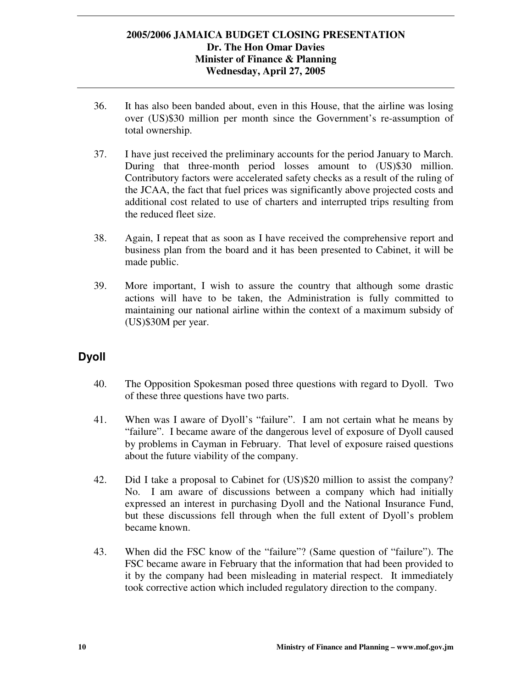- 36. It has also been banded about, even in this House, that the airline was losing over (US)\$30 million per month since the Government's re-assumption of total ownership.
- 37. I have just received the preliminary accounts for the period January to March. During that three-month period losses amount to (US)\$30 million. Contributory factors were accelerated safety checks as a result of the ruling of the JCAA, the fact that fuel prices was significantly above projected costs and additional cost related to use of charters and interrupted trips resulting from the reduced fleet size.
- 38. Again, I repeat that as soon as I have received the comprehensive report and business plan from the board and it has been presented to Cabinet, it will be made public.
- 39. More important, I wish to assure the country that although some drastic actions will have to be taken, the Administration is fully committed to maintaining our national airline within the context of a maximum subsidy of (US)\$30M per year.

## **Dyoll**

- 40. The Opposition Spokesman posed three questions with regard to Dyoll. Two of these three questions have two parts.
- 41. When was I aware of Dyoll's "failure". I am not certain what he means by "failure". I became aware of the dangerous level of exposure of Dyoll caused by problems in Cayman in February. That level of exposure raised questions about the future viability of the company.
- 42. Did I take a proposal to Cabinet for (US)\$20 million to assist the company? No. I am aware of discussions between a company which had initially expressed an interest in purchasing Dyoll and the National Insurance Fund, but these discussions fell through when the full extent of Dyoll's problem became known.
- 43. When did the FSC know of the "failure"? (Same question of "failure"). The FSC became aware in February that the information that had been provided to it by the company had been misleading in material respect. It immediately took corrective action which included regulatory direction to the company.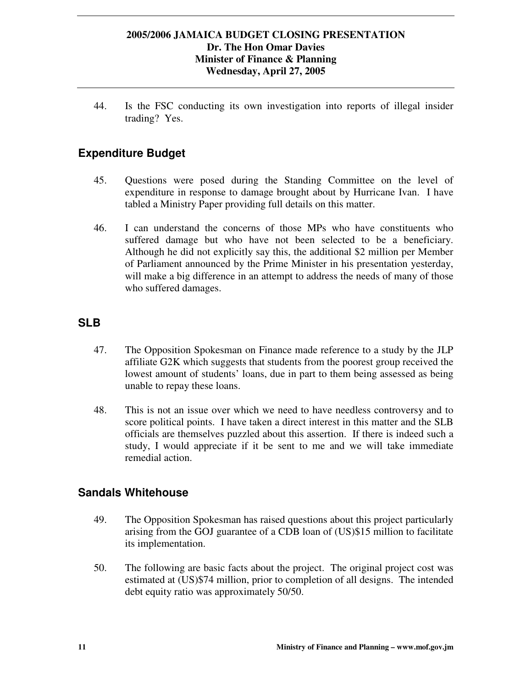44. Is the FSC conducting its own investigation into reports of illegal insider trading? Yes.

## **Expenditure Budget**

- 45. Questions were posed during the Standing Committee on the level of expenditure in response to damage brought about by Hurricane Ivan. I have tabled a Ministry Paper providing full details on this matter.
- 46. I can understand the concerns of those MPs who have constituents who suffered damage but who have not been selected to be a beneficiary. Although he did not explicitly say this, the additional \$2 million per Member of Parliament announced by the Prime Minister in his presentation yesterday, will make a big difference in an attempt to address the needs of many of those who suffered damages.

## **SLB**

- 47. The Opposition Spokesman on Finance made reference to a study by the JLP affiliate G2K which suggests that students from the poorest group received the lowest amount of students' loans, due in part to them being assessed as being unable to repay these loans.
- 48. This is not an issue over which we need to have needless controversy and to score political points. I have taken a direct interest in this matter and the SLB officials are themselves puzzled about this assertion. If there is indeed such a study, I would appreciate if it be sent to me and we will take immediate remedial action.

### **Sandals Whitehouse**

- 49. The Opposition Spokesman has raised questions about this project particularly arising from the GOJ guarantee of a CDB loan of (US)\$15 million to facilitate its implementation.
- 50. The following are basic facts about the project. The original project cost was estimated at (US)\$74 million, prior to completion of all designs. The intended debt equity ratio was approximately 50/50.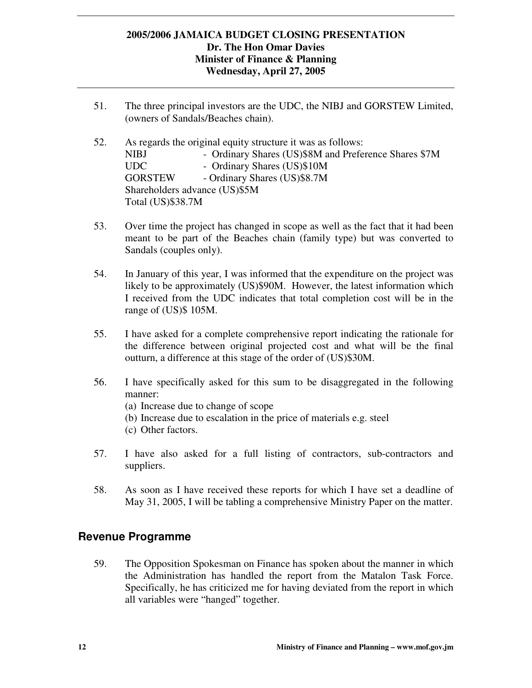- 51. The three principal investors are the UDC, the NIBJ and GORSTEW Limited, (owners of Sandals/Beaches chain).
- 52. As regards the original equity structure it was as follows: NIBJ - Ordinary Shares (US)\$8M and Preference Shares \$7M UDC - Ordinary Shares (US)\$10M GORSTEW - Ordinary Shares (US)\$8.7M Shareholders advance (US)\$5M Total (US)\$38.7M
- 53. Over time the project has changed in scope as well as the fact that it had been meant to be part of the Beaches chain (family type) but was converted to Sandals (couples only).
- 54. In January of this year, I was informed that the expenditure on the project was likely to be approximately (US)\$90M. However, the latest information which I received from the UDC indicates that total completion cost will be in the range of (US)\$ 105M.
- 55. I have asked for a complete comprehensive report indicating the rationale for the difference between original projected cost and what will be the final outturn, a difference at this stage of the order of (US)\$30M.
- 56. I have specifically asked for this sum to be disaggregated in the following manner:
	- (a) Increase due to change of scope
	- (b) Increase due to escalation in the price of materials e.g. steel
	- (c) Other factors.
- 57. I have also asked for a full listing of contractors, sub-contractors and suppliers.
- 58. As soon as I have received these reports for which I have set a deadline of May 31, 2005, I will be tabling a comprehensive Ministry Paper on the matter.

## **Revenue Programme**

59. The Opposition Spokesman on Finance has spoken about the manner in which the Administration has handled the report from the Matalon Task Force. Specifically, he has criticized me for having deviated from the report in which all variables were "hanged" together.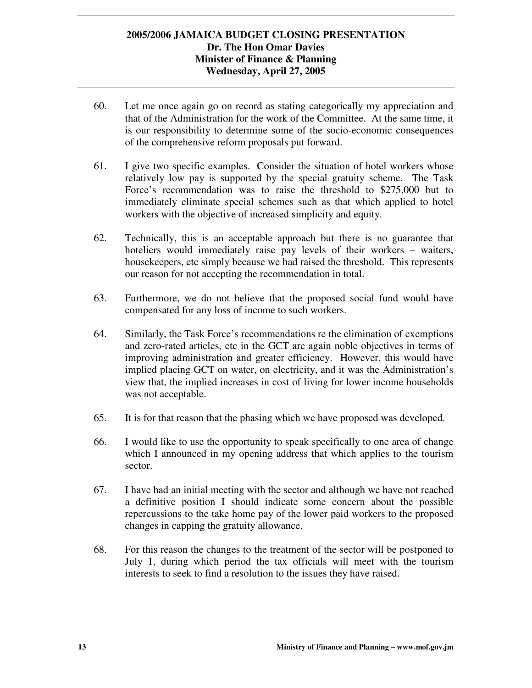- 60. Let me once again go on record as stating categorically my appreciation and that of the Administration for the work of the Committee. At the same time, it is our responsibility to determine some of the socio-economic consequences of the comprehensive reform proposals put forward.
- 61. I give two specific examples. Consider the situation of hotel workers whose relatively low pay is supported by the special gratuity scheme. The Task Force's recommendation was to raise the threshold to \$275,000 but to immediately eliminate special schemes such as that which applied to hotel workers with the objective of increased simplicity and equity.
- 62. Technically, this is an acceptable approach but there is no guarantee that hoteliers would immediately raise pay levels of their workers – waiters, housekeepers, etc simply because we had raised the threshold. This represents our reason for not accepting the recommendation in total.
- 63. Furthermore, we do not believe that the proposed social fund would have compensated for any loss of income to such workers.
- 64. Similarly, the Task Force's recommendations re the elimination of exemptions and zero-rated articles, etc in the GCT are again noble objectives in terms of improving administration and greater efficiency. However, this would have implied placing GCT on water, on electricity, and it was the Administration's view that, the implied increases in cost of living for lower income households was not acceptable.
- 65. It is for that reason that the phasing which we have proposed was developed.
- 66. I would like to use the opportunity to speak specifically to one area of change which I announced in my opening address that which applies to the tourism sector.
- 67. I have had an initial meeting with the sector and although we have not reached a definitive position I should indicate some concern about the possible repercussions to the take home pay of the lower paid workers to the proposed changes in capping the gratuity allowance.
- 68. For this reason the changes to the treatment of the sector will be postponed to July 1, during which period the tax officials will meet with the tourism interests to seek to find a resolution to the issues they have raised.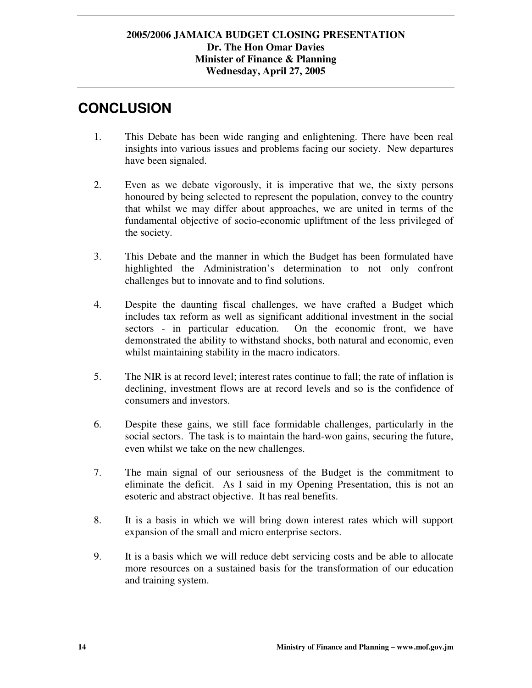# **CONCLUSION**

- 1. This Debate has been wide ranging and enlightening. There have been real insights into various issues and problems facing our society. New departures have been signaled.
- 2. Even as we debate vigorously, it is imperative that we, the sixty persons honoured by being selected to represent the population, convey to the country that whilst we may differ about approaches, we are united in terms of the fundamental objective of socio-economic upliftment of the less privileged of the society.
- 3. This Debate and the manner in which the Budget has been formulated have highlighted the Administration's determination to not only confront challenges but to innovate and to find solutions.
- 4. Despite the daunting fiscal challenges, we have crafted a Budget which includes tax reform as well as significant additional investment in the social sectors - in particular education. On the economic front, we have demonstrated the ability to withstand shocks, both natural and economic, even whilst maintaining stability in the macro indicators.
- 5. The NIR is at record level; interest rates continue to fall; the rate of inflation is declining, investment flows are at record levels and so is the confidence of consumers and investors.
- 6. Despite these gains, we still face formidable challenges, particularly in the social sectors. The task is to maintain the hard-won gains, securing the future, even whilst we take on the new challenges.
- 7. The main signal of our seriousness of the Budget is the commitment to eliminate the deficit. As I said in my Opening Presentation, this is not an esoteric and abstract objective. It has real benefits.
- 8. It is a basis in which we will bring down interest rates which will support expansion of the small and micro enterprise sectors.
- 9. It is a basis which we will reduce debt servicing costs and be able to allocate more resources on a sustained basis for the transformation of our education and training system.